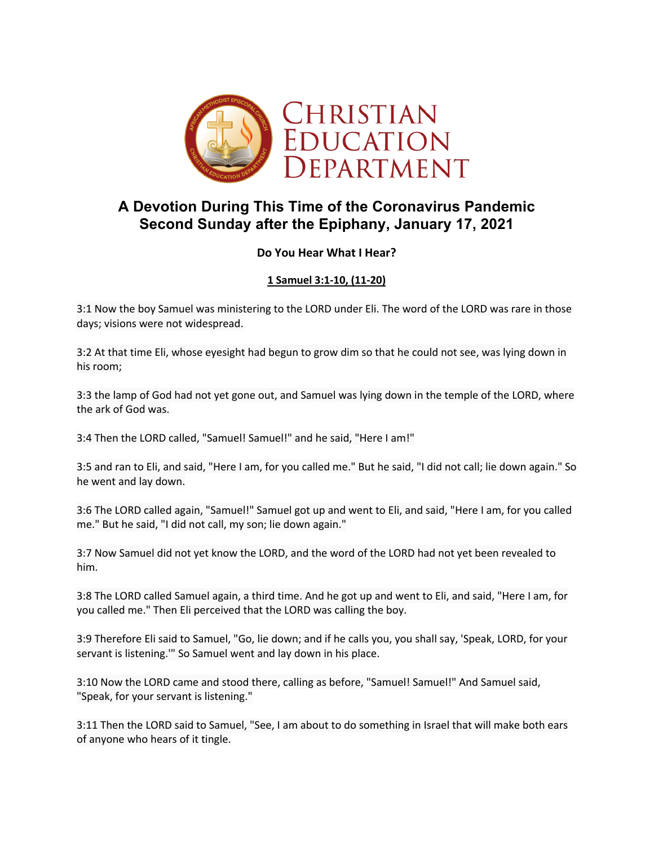

# **A Devotion During This Time of the Coronavirus Pandemic Second Sunday after the Epiphany, January 17, 2021**

## **Do You Hear What I Hear?**

# **1 Samuel 3:1-10, (11-20)**

3:1 Now the boy Samuel was ministering to the LORD under Eli. The word of the LORD was rare in those days; visions were not widespread.

3:2 At that time Eli, whose eyesight had begun to grow dim so that he could not see, was lying down in his room;

3:3 the lamp of God had not yet gone out, and Samuel was lying down in the temple of the LORD, where the ark of God was.

3:4 Then the LORD called, "Samuel! Samuel!" and he said, "Here I am!"

3:5 and ran to Eli, and said, "Here I am, for you called me." But he said, "I did not call; lie down again." So he went and lay down.

3:6 The LORD called again, "Samuel!" Samuel got up and went to Eli, and said, "Here I am, for you called me." But he said, "I did not call, my son; lie down again."

3:7 Now Samuel did not yet know the LORD, and the word of the LORD had not yet been revealed to him.

3:8 The LORD called Samuel again, a third time. And he got up and went to Eli, and said, "Here I am, for you called me." Then Eli perceived that the LORD was calling the boy.

3:9 Therefore Eli said to Samuel, "Go, lie down; and if he calls you, you shall say, 'Speak, LORD, for your servant is listening.'" So Samuel went and lay down in his place.

3:10 Now the LORD came and stood there, calling as before, "Samuel! Samuel!" And Samuel said, "Speak, for your servant is listening."

3:11 Then the LORD said to Samuel, "See, I am about to do something in Israel that will make both ears of anyone who hears of it tingle.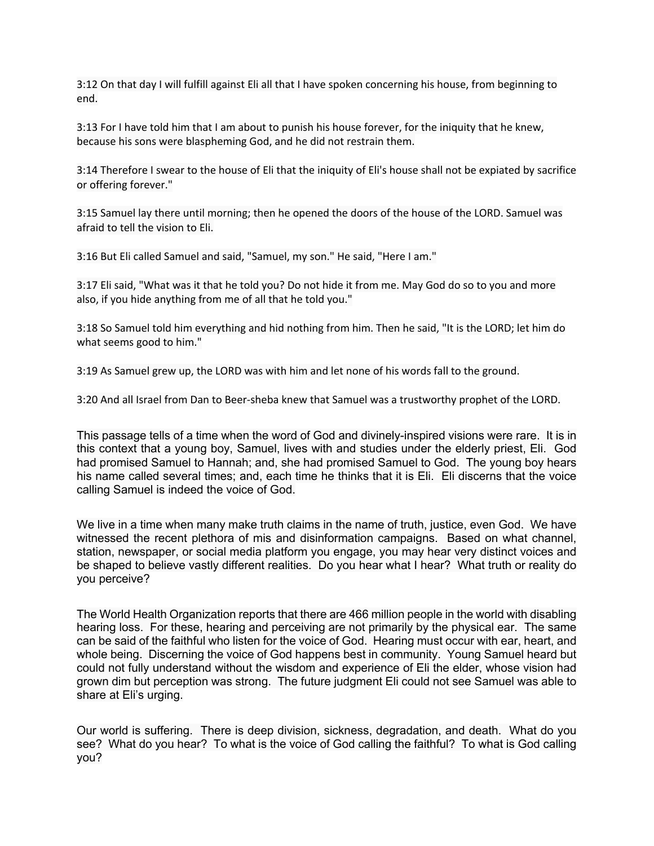3:12 On that day I will fulfill against Eli all that I have spoken concerning his house, from beginning to end.

3:13 For I have told him that I am about to punish his house forever, for the iniquity that he knew, because his sons were blaspheming God, and he did not restrain them.

3:14 Therefore I swear to the house of Eli that the iniquity of Eli's house shall not be expiated by sacrifice or offering forever."

3:15 Samuel lay there until morning; then he opened the doors of the house of the LORD. Samuel was afraid to tell the vision to Eli.

3:16 But Eli called Samuel and said, "Samuel, my son." He said, "Here I am."

3:17 Eli said, "What was it that he told you? Do not hide it from me. May God do so to you and more also, if you hide anything from me of all that he told you."

3:18 So Samuel told him everything and hid nothing from him. Then he said, "It is the LORD; let him do what seems good to him."

3:19 As Samuel grew up, the LORD was with him and let none of his words fall to the ground.

3:20 And all Israel from Dan to Beer-sheba knew that Samuel was a trustworthy prophet of the LORD.

This passage tells of a time when the word of God and divinely-inspired visions were rare. It is in this context that a young boy, Samuel, lives with and studies under the elderly priest, Eli. God had promised Samuel to Hannah; and, she had promised Samuel to God. The young boy hears his name called several times; and, each time he thinks that it is Eli. Eli discerns that the voice calling Samuel is indeed the voice of God.

We live in a time when many make truth claims in the name of truth, justice, even God. We have witnessed the recent plethora of mis and disinformation campaigns. Based on what channel, station, newspaper, or social media platform you engage, you may hear very distinct voices and be shaped to believe vastly different realities. Do you hear what I hear? What truth or reality do you perceive?

The World Health Organization reports that there are 466 million people in the world with disabling hearing loss. For these, hearing and perceiving are not primarily by the physical ear. The same can be said of the faithful who listen for the voice of God. Hearing must occur with ear, heart, and whole being. Discerning the voice of God happens best in community. Young Samuel heard but could not fully understand without the wisdom and experience of Eli the elder, whose vision had grown dim but perception was strong. The future judgment Eli could not see Samuel was able to share at Eli's urging.

Our world is suffering. There is deep division, sickness, degradation, and death. What do you see? What do you hear? To what is the voice of God calling the faithful? To what is God calling you?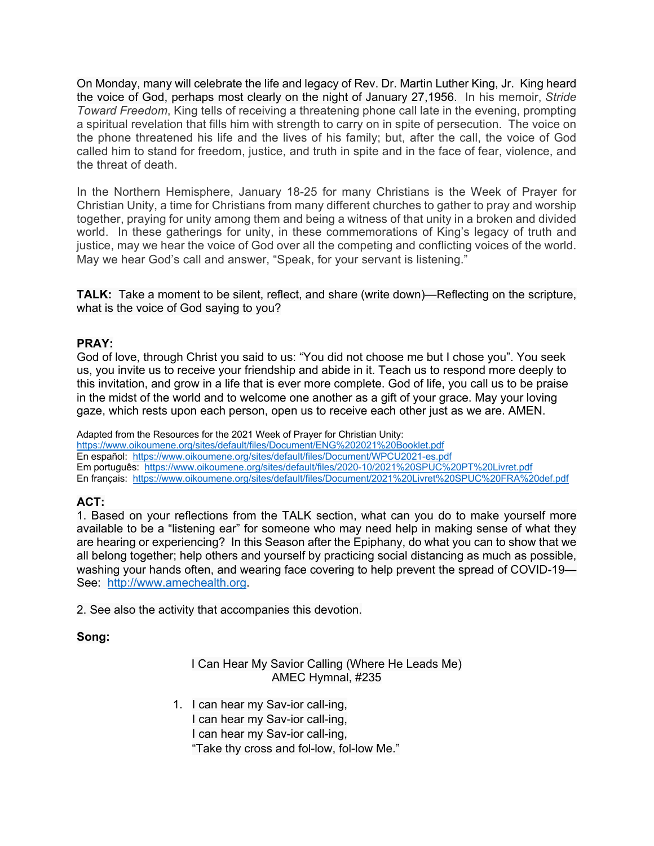On Monday, many will celebrate the life and legacy of Rev. Dr. Martin Luther King, Jr. King heard the voice of God, perhaps most clearly on the night of January 27,1956. In his memoir, *Stride Toward Freedom*, King tells of receiving a threatening phone call late in the evening, prompting a spiritual revelation that fills him with strength to carry on in spite of persecution. The voice on the phone threatened his life and the lives of his family; but, after the call, the voice of God called him to stand for freedom, justice, and truth in spite and in the face of fear, violence, and the threat of death.

In the Northern Hemisphere, January 18-25 for many Christians is the Week of Prayer for Christian Unity, a time for Christians from many different churches to gather to pray and worship together, praying for unity among them and being a witness of that unity in a broken and divided world. In these gatherings for unity, in these commemorations of King's legacy of truth and justice, may we hear the voice of God over all the competing and conflicting voices of the world. May we hear God's call and answer, "Speak, for your servant is listening."

**TALK:** Take a moment to be silent, reflect, and share (write down)—Reflecting on the scripture, what is the voice of God saying to you?

#### **PRAY:**

God of love, through Christ you said to us: "You did not choose me but I chose you". You seek us, you invite us to receive your friendship and abide in it. Teach us to respond more deeply to this invitation, and grow in a life that is ever more complete. God of life, you call us to be praise in the midst of the world and to welcome one another as a gift of your grace. May your loving gaze, which rests upon each person, open us to receive each other just as we are. AMEN.

Adapted from the Resources for the 2021 Week of Prayer for Christian Unity: https://www.oikoumene.org/sites/default/files/Document/ENG%202021%20Booklet.pdf En español: https://www.oikoumene.org/sites/default/files/Document/WPCU2021-es.pdf Em português: https://www.oikoumene.org/sites/default/files/2020-10/2021%20SPUC%20PT%20Livret.pdf En français: https://www.oikoumene.org/sites/default/files/Document/2021%20Livret%20SPUC%20FRA%20def.pdf

## **ACT:**

1. Based on your reflections from the TALK section, what can you do to make yourself more available to be a "listening ear" for someone who may need help in making sense of what they are hearing or experiencing? In this Season after the Epiphany, do what you can to show that we all belong together; help others and yourself by practicing social distancing as much as possible, washing your hands often, and wearing face covering to help prevent the spread of COVID-19— See: http://www.amechealth.org.

2. See also the activity that accompanies this devotion.

#### **Song:**

#### I Can Hear My Savior Calling (Where He Leads Me) AMEC Hymnal, #235

1. I can hear my Sav-ior call-ing, I can hear my Sav-ior call-ing, I can hear my Sav-ior call-ing, "Take thy cross and fol-low, fol-low Me."